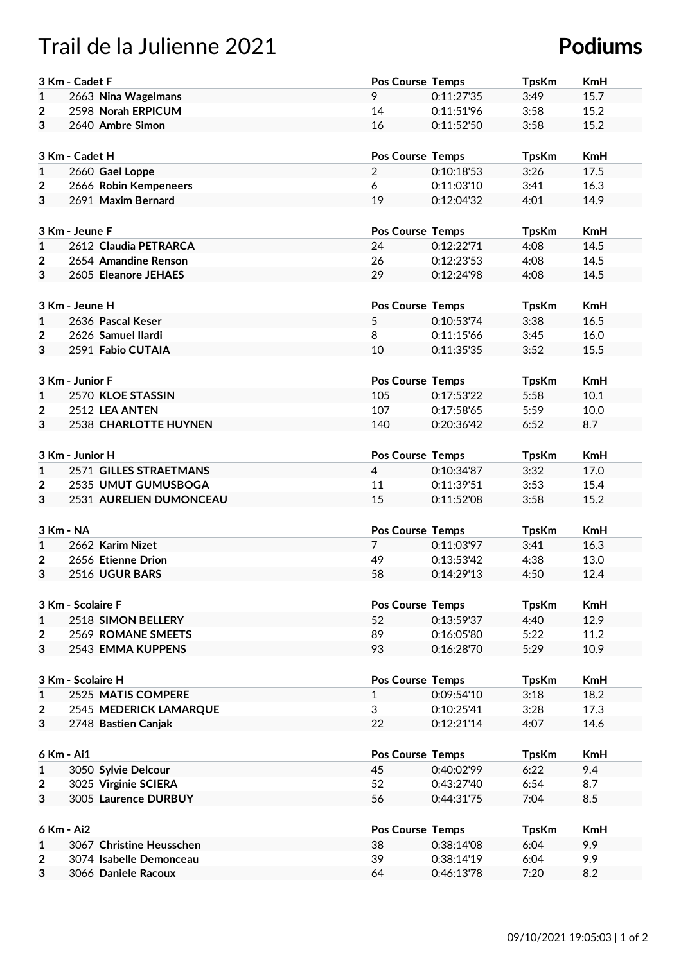## Trail de la Julienne 2021 **Podiums**

|                     | 3 Km - Cadet F                                 | <b>Pos Course Temps</b> |                          | <b>TpsKm</b> | <b>KmH</b> |
|---------------------|------------------------------------------------|-------------------------|--------------------------|--------------|------------|
| $\mathbf{1}$        | 2663 Nina Wagelmans                            | 9                       | 0:11:27'35               | 3:49         | 15.7       |
| $\mathbf{2}$        | 2598 Norah ERPICUM                             | 14                      | 0:11:51'96               | 3:58         | 15.2       |
| 3                   | 2640 Ambre Simon                               | 16                      | 0:11:52'50               | 3:58         | 15.2       |
|                     |                                                |                         |                          |              |            |
| 3 Km - Cadet H      |                                                | <b>Pos Course Temps</b> |                          | <b>TpsKm</b> | <b>KmH</b> |
| $\mathbf{1}$        | 2660 Gael Loppe                                | $\overline{2}$          | 0:10:18:53               | 3:26         | 17.5       |
|                     | 2666 Robin Kempeneers                          | 6                       | 0:11:03'10               | 3:41         | 16.3       |
| $\mathbf 2$         | 2691 Maxim Bernard                             | 19                      |                          |              |            |
| 3                   |                                                |                         | 0:12:04'32               | 4:01         | 14.9       |
|                     |                                                |                         |                          |              |            |
|                     | 3 Km - Jeune F                                 | <b>Pos Course Temps</b> |                          | <b>TpsKm</b> | <b>KmH</b> |
| $\mathbf{1}$        | 2612 Claudia PETRARCA                          | 24                      | 0:12:22'71               | 4:08         | 14.5       |
| 2                   | 2654 Amandine Renson                           | 26                      | 0:12:23'53               | 4:08         | 14.5       |
| 3                   | 2605 Eleanore JEHAES                           | 29                      | 0:12:24'98               | 4:08         | 14.5       |
|                     |                                                |                         |                          |              |            |
|                     | 3 Km - Jeune H                                 | <b>Pos Course Temps</b> |                          | <b>TpsKm</b> | <b>KmH</b> |
| $\mathbf{1}$        | 2636 Pascal Keser                              | 5                       | 0:10:53'74               | 3:38         | 16.5       |
| 2                   | 2626 Samuel Ilardi                             | 8                       | 0:11:15'66               | 3:45         | 16.0       |
| 3                   | 2591 Fabio CUTAIA                              | 10                      | 0:11:35'35               | 3:52         | 15.5       |
|                     |                                                |                         |                          |              |            |
|                     | 3 Km - Junior F                                | <b>Pos Course Temps</b> |                          | <b>TpsKm</b> | KmH        |
| $\mathbf{1}$        | 2570 KLOE STASSIN                              | 105                     | 0:17:53'22               | 5:58         | 10.1       |
| 2                   | 2512 LEA ANTEN                                 | 107                     | 0:17:58'65               | 5:59         | 10.0       |
| 3                   | 2538 CHARLOTTE HUYNEN                          | 140                     | 0:20:36'42               | 6:52         | 8.7        |
|                     |                                                |                         |                          |              |            |
|                     | 3 Km - Junior H                                | Pos Course Temps        |                          | <b>TpsKm</b> | KmH        |
| $\mathbf{1}$        | 2571 GILLES STRAETMANS                         | $\overline{4}$          | 0:10:34'87               | 3:32         | 17.0       |
|                     | 2535 UMUT GUMUSBOGA                            | 11                      | 0:11:39'51               | 3:53         | 15.4       |
| $\overline{2}$<br>3 |                                                | 15                      |                          |              | 15.2       |
|                     | 2531 AURELIEN DUMONCEAU                        |                         | 0:11:52'08               | 3:58         |            |
|                     |                                                |                         |                          |              |            |
|                     |                                                |                         |                          |              |            |
| 3 Km - NA           |                                                | <b>Pos Course Temps</b> |                          | <b>TpsKm</b> | <b>KmH</b> |
| $\mathbf{1}$        | 2662 Karim Nizet                               | $\overline{7}$          | 0:11:03'97               | 3:41         | 16.3       |
| $\mathbf{2}$        | 2656 Etienne Drion                             | 49                      | 0:13:53'42               | 4:38         | 13.0       |
| 3                   | 2516 UGUR BARS                                 | 58                      | 0:14:29'13               | 4:50         | 12.4       |
|                     |                                                |                         |                          |              |            |
|                     | 3 Km - Scolaire F                              | <b>Pos Course Temps</b> |                          | <b>TpsKm</b> | <b>KmH</b> |
| 1                   | 2518 SIMON BELLERY                             | 52                      | 0:13:59'37               | 4:40         | 12.9       |
| $\overline{2}$      | 2569 ROMANE SMEETS                             | 89                      | 0:16:05'80               | 5:22         | 11.2       |
| 3                   | 2543 EMMA KUPPENS                              | 93                      | 0:16:28'70               | 5:29         | 10.9       |
|                     |                                                |                         |                          |              |            |
|                     | 3 Km - Scolaire H                              | <b>Pos Course Temps</b> |                          | <b>TpsKm</b> | <b>KmH</b> |
| $\mathbf{1}$        | 2525 MATIS COMPERE                             | $\mathbf{1}$            | 0:09:54'10               | 3:18         | 18.2       |
| $\overline{2}$      | 2545 MEDERICK LAMARQUE                         | 3                       | 0:10:25'41               | 3:28         | 17.3       |
| 3                   | 2748 Bastien Canjak                            | 22                      | 0:12:21'14               | 4:07         | 14.6       |
|                     |                                                |                         |                          |              |            |
|                     |                                                |                         |                          |              |            |
| 6 Km - Ai1          |                                                | <b>Pos Course Temps</b> |                          | <b>TpsKm</b> | <b>KmH</b> |
| 1                   | 3050 Sylvie Delcour                            | 45                      | 0:40:02'99               | 6:22         | 9.4        |
| $\overline{2}$      | 3025 Virginie SCIERA                           | 52                      | 0:43:27'40               | 6:54         | 8.7        |
| 3                   | 3005 Laurence DURBUY                           | 56                      | 0:44:31'75               | 7:04         | 8.5        |
|                     |                                                |                         |                          |              |            |
| 6 Km - Ai2          |                                                | <b>Pos Course Temps</b> |                          | <b>TpsKm</b> | <b>KmH</b> |
| $\mathbf{1}$        | 3067 Christine Heusschen                       | 38                      | 0:38:14'08               | 6:04         | 9.9        |
| $\overline{2}$<br>3 | 3074 Isabelle Demonceau<br>3066 Daniele Racoux | 39<br>64                | 0:38:14'19<br>0:46:13'78 | 6:04<br>7:20 | 9.9<br>8.2 |